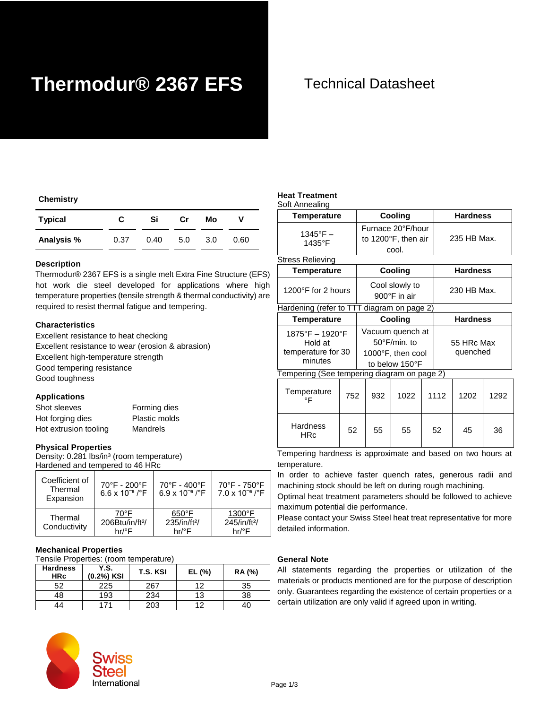# **Thermodur® 2367 EFS** Technical Datasheet

#### **Chemistry**

| Typical    | С    | Si   | Сr  | Мо  |      |
|------------|------|------|-----|-----|------|
| Analysis % | 0.37 | 0.40 | 5.0 | 3.0 | 0.60 |

#### **Description**

Thermodur® 2367 EFS is a single melt Extra Fine Structure (EFS) hot work die steel developed for applications where high temperature properties (tensile strength & thermal conductivity) are required to resist thermal fatigue and tempering.

### **Characteristics**

Excellent resistance to heat checking Excellent resistance to wear (erosion & abrasion) Excellent high-temperature strength Good tempering resistance Good toughness

#### **Applications**

| Shot sleeves          | Forming dies  |
|-----------------------|---------------|
| Hot forging dies      | Plastic molds |
| Hot extrusion tooling | Mandrels      |

#### **Physical Properties**

Density: 0.281 lbs/in<sup>3</sup> (room temperature) Hardened and tempered to 46 HRc

| Coefficient of<br>Thermal<br>Expansion | 70°F - 200°F<br>$6.6 \times 10^{-6}$ / $\degree$ F | 70°F - 400°F<br>$6.9 \times 10^{-6}$ / $\degree$ F   | 70°F - 750°F<br>$7.0 \times 10^{-6}$ / $\degree$ F |
|----------------------------------------|----------------------------------------------------|------------------------------------------------------|----------------------------------------------------|
| Thermal<br>Conductivity                | 70°F<br>206Btu/in/ft <sup>2</sup> /<br>hr/°F       | $650^{\circ}$ F<br>235/in/ft <sup>2</sup> /<br>hr/°F | 1300°F<br>245/in/ft <sup>2</sup> /<br>hr/°F        |

#### **Mechanical Properties**

Tensile Properties: (room temperature)

| <b>Hardness</b><br><b>HRc</b> | Y.S.<br>(0.2%) KSI | T.S. KSI | EL(%) | <b>RA (%)</b> |
|-------------------------------|--------------------|----------|-------|---------------|
| 52                            | 225                | 267      | 12    | 35            |
| 48                            | 193                | 234      | 13    | 38            |
| 14                            | 171                | 203      | 1つ    |               |



### **Heat Treatment**

| Soft Annealing                                              |                                                                                   |                        |
|-------------------------------------------------------------|-----------------------------------------------------------------------------------|------------------------|
| <b>Temperature</b>                                          | Cooling                                                                           | <b>Hardness</b>        |
| $1345^{\circ}F -$<br>1435°F                                 | Furnace 20°F/hour<br>to 1200°F, then air<br>cool.                                 | 235 HB Max.            |
| <b>Stress Relieving</b>                                     |                                                                                   |                        |
| <b>Temperature</b>                                          | Cooling                                                                           | <b>Hardness</b>        |
| 1200 $\degree$ F for 2 hours                                | Cool slowly to<br>900°F in air                                                    | 230 HB Max.            |
| Hardening (refer to TT                                      | diagram on page 2)                                                                |                        |
| Temperature                                                 | Cooling                                                                           | <b>Hardness</b>        |
| 1875°F - 1920°F<br>Hold at<br>temperature for 30<br>minutes | Vacuum quench at<br>$50^{\circ}$ F/min. to<br>1000°F, then cool<br>to below 150°F | 55 HRc Max<br>quenched |
|                                                             | Tempering (See tempering diagram on page 2)                                       |                        |
|                                                             |                                                                                   |                        |

| Temperature<br>$\circ$        | 752 | 932 | 1022 | 1112 | 1202 | 1292 |
|-------------------------------|-----|-----|------|------|------|------|
| <b>Hardness</b><br><b>HRc</b> | 52  | 55  | 55   | 52   | 45   | 36   |

Tempering hardness is approximate and based on two hours at temperature.

In order to achieve faster quench rates, generous radii and machining stock should be left on during rough machining.

Optimal heat treatment parameters should be followed to achieve maximum potential die performance.

Please contact your Swiss Steel heat treat representative for more detailed information.

#### **General Note**

All statements regarding the properties or utilization of the materials or products mentioned are for the purpose of description only. Guarantees regarding the existence of certain properties or a certain utilization are only valid if agreed upon in writing.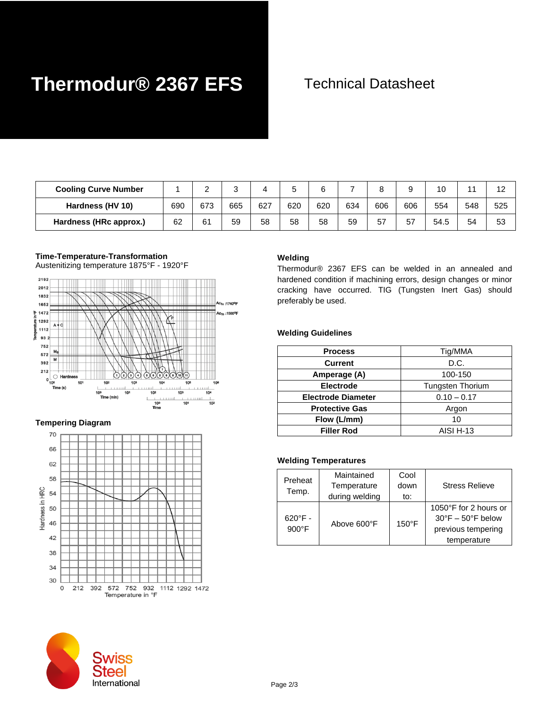# **Thermodur® 2367 EFS** Technical Datasheet

| <b>Cooling Curve Number</b> |     | -   |     |     |     |     |     |     |     |      |     | 12  |
|-----------------------------|-----|-----|-----|-----|-----|-----|-----|-----|-----|------|-----|-----|
| Hardness (HV 10)            | 690 | 673 | 665 | 627 | 620 | 620 | 634 | 606 | 606 | 554  | 548 | 525 |
| Hardness (HRc approx.)      | 62  | 61  | 59  | 58  | 58  | 58  | 59  | 57  | 57  | 54.5 | 54  | 53  |

### **Time-Temperature-Transformation**  Austenitizing temperature 1875°F - 1920°F



## **Tempering Diagram**





# **Welding**

Thermodur® 2367 EFS can be welded in an annealed and hardened condition if machining errors, design changes or minor cracking have occurred. TIG (Tungsten Inert Gas) should preferably be used.

## **Welding Guidelines**

| <b>Process</b>            | Tig/MMA                 |
|---------------------------|-------------------------|
| <b>Current</b>            | D.C.                    |
| Amperage (A)              | 100-150                 |
| <b>Electrode</b>          | <b>Tungsten Thorium</b> |
| <b>Electrode Diameter</b> | $0.10 - 0.17$           |
| <b>Protective Gas</b>     | Argon                   |
| Flow (L/mm)               | 10                      |
| <b>Filler Rod</b>         | <b>AISI H-13</b>        |

# **Welding Temperatures**

| Preheat<br>Temp.                     | Maintained<br>Temperature<br>during welding | Cool<br>down<br>to: | <b>Stress Relieve</b>                |
|--------------------------------------|---------------------------------------------|---------------------|--------------------------------------|
|                                      |                                             |                     |                                      |
| $620^{\circ}$ F -<br>$900^{\circ}$ F |                                             |                     | 1050°F for 2 hours or                |
|                                      | Above 600°F                                 | $150^{\circ}$ F     | $30^{\circ}$ F $-50^{\circ}$ F below |
|                                      |                                             |                     | previous tempering                   |
|                                      |                                             |                     | temperature                          |